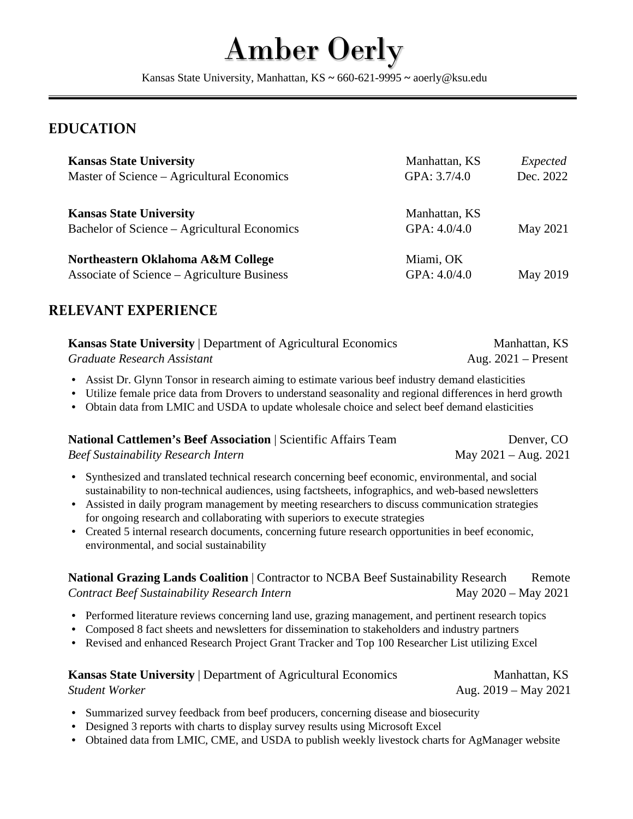# Amber Oerly

Kansas State University, Manhattan, KS **~** 660-621-9995 **~** aoerly@ksu.edu

### **EDUCATION**

| <b>Kansas State University</b><br>Master of Science – Agricultural Economics     | Manhattan, KS<br>GPA: 3.7/4.0 | Expected<br>Dec. 2022 |
|----------------------------------------------------------------------------------|-------------------------------|-----------------------|
| <b>Kansas State University</b><br>Bachelor of Science – Agricultural Economics   | Manhattan, KS<br>GPA: 4.0/4.0 | May 2021              |
| Northeastern Oklahoma A&M College<br>Associate of Science – Agriculture Business | Miami, OK<br>GPA: 4.0/4.0     | May 2019              |

## **RELEVANT EXPERIENCE**

| <b>Kansas State University   Department of Agricultural Economics</b> | Manhattan, KS         |
|-----------------------------------------------------------------------|-----------------------|
| Graduate Research Assistant                                           | Aug. $2021$ – Present |

- Assist Dr. Glynn Tonsor in research aiming to estimate various beef industry demand elasticities
- Utilize female price data from Drovers to understand seasonality and regional differences in herd growth
- Obtain data from LMIC and USDA to update wholesale choice and select beef demand elasticities

| <b>National Cattlemen's Beef Association   Scientific Affairs Team</b> | Denver, CO             |
|------------------------------------------------------------------------|------------------------|
| <b>Beef Sustainability Research Intern</b>                             | May $2021 - Aug. 2021$ |

- Synthesized and translated technical research concerning beef economic, environmental, and social sustainability to non-technical audiences, using factsheets, infographics, and web-based newsletters
- Assisted in daily program management by meeting researchers to discuss communication strategies for ongoing research and collaborating with superiors to execute strategies
- Created 5 internal research documents, concerning future research opportunities in beef economic, environmental, and social sustainability

#### **National Grazing Lands Coalition | Contractor to NCBA Beef Sustainability Research Remote** *Contract Beef Sustainability Research Intern* May 2020 – May 2021

- Performed literature reviews concerning land use, grazing management, and pertinent research topics
- Composed 8 fact sheets and newsletters for dissemination to stakeholders and industry partners
- Revised and enhanced Research Project Grant Tracker and Top 100 Researcher List utilizing Excel

| <b>Kansas State University   Department of Agricultural Economics</b> | Manhattan, KS          |
|-----------------------------------------------------------------------|------------------------|
| Student Worker                                                        | Aug. $2019 - May 2021$ |

- Summarized survey feedback from beef producers, concerning disease and biosecurity
- Designed 3 reports with charts to display survey results using Microsoft Excel
- Obtained data from LMIC, CME, and USDA to publish weekly livestock charts for AgManager website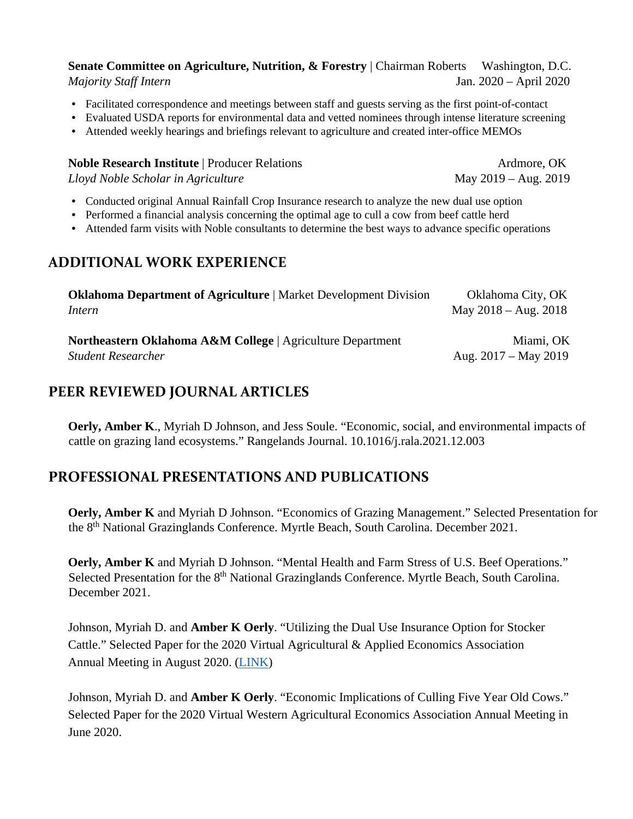#### **Senate Committee on Agriculture, Nutrition, & Forestry** | Chairman Roberts Washington, D.C. *Majority Staff Intern* Jan. 2020 – April 2020

- Facilitated correspondence and meetings between staff and guests serving as the first point-of-contact
- Evaluated USDA reports for environmental data and vetted nominees through intense literature screening
- Attended weekly hearings and briefings relevant to agriculture and created inter-office MEMOs

## **Noble Research Institute** | Producer Relations And Ardmore, OK *Lloyd Noble Scholar in Agriculture* May 2019 – Aug. 2019

- Conducted original Annual Rainfall Crop Insurance research to analyze the new dual use option
- Performed a financial analysis concerning the optimal age to cull a cow from beef cattle herd
- Attended farm visits with Noble consultants to determine the best ways to advance specific operations

### **ADDITIONAL WORK EXPERIENCE**

| <b>Oklahoma Department of Agriculture</b>   Market Development Division | Oklahoma City, OK      |
|-------------------------------------------------------------------------|------------------------|
| Intern                                                                  | May $2018 - Aug. 2018$ |
| <b>Northeastern Oklahoma A&amp;M College</b>   Agriculture Department   | Miami, OK              |
| <b>Student Researcher</b>                                               | Aug. $2017 - May 2019$ |

## **PEER REVIEWED JOURNAL ARTICLES**

**Oerly, Amber K**., Myriah D Johnson, and Jess Soule. "Economic, social, and environmental impacts of cattle on grazing land ecosystems." Rangelands Journal. 10.1016/j.rala.2021.12.003

## **PROFESSIONAL PRESENTATIONS AND PUBLICATIONS**

**Oerly, Amber K** and Myriah D Johnson. "Economics of Grazing Management." Selected Presentation for the 8th National Grazinglands Conference. Myrtle Beach, South Carolina. December 2021.

**Oerly, Amber K** and Myriah D Johnson. "Mental Health and Farm Stress of U.S. Beef Operations." Selected Presentation for the 8<sup>th</sup> National Grazinglands Conference. Myrtle Beach, South Carolina. December 2021.

Johnson, Myriah D. and **Amber K Oerly**. "Utilizing the Dual Use Insurance Option for Stocker Cattle." Selected Paper for the 2020 Virtual Agricultural & Applied Economics Association Annual Meeting in August 2020. [\(LINK\)](https://ageconsearch.umn.edu/record/304459?ln=en)

Johnson, Myriah D. and **Amber K Oerly**. "Economic Implications of Culling Five Year Old Cows." Selected Paper for the 2020 Virtual Western Agricultural Economics Association Annual Meeting in June 2020.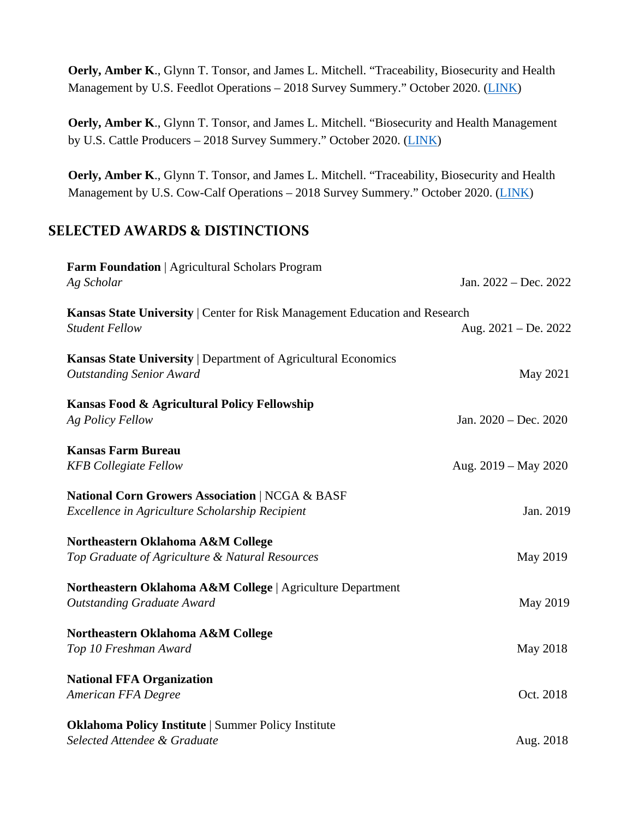**Oerly, Amber K**., Glynn T. Tonsor, and James L. Mitchell. "Traceability, Biosecurity and Health Management by U.S. Feedlot Operations - 2018 Survey Summery." October 2020. [\(LINK\)](https://www.agmanager.info/livestock-meat/cross-subject-areas/traceability-biosecurity-and-health-management-us-feedlot)

**Oerly, Amber K**., Glynn T. Tonsor, and James L. Mitchell. "Biosecurity and Health Management by U.S. Cattle Producers – 2018 Survey Summery." October 2020. [\(LINK\)](https://www.agmanager.info/livestock-meat/cross-subject-areas/biosecurity-and-health-management-us-cattle-producers-2018-survey)

**Oerly, Amber K**., Glynn T. Tonsor, and James L. Mitchell. "Traceability, Biosecurity and Health Management by U.S. Cow-Calf Operations – 2018 Survey Summery." October 2020. [\(LINK\)](https://www.agmanager.info/livestock-meat/cross-subject-areas/traceability-biosecurity-and-health-management-us-cow-calf)

## **SELECTED AWARDS & DISTINCTIONS**

| Farm Foundation   Agricultural Scholars Program<br>Ag Scholar                                                 | Jan. 2022 – Dec. 2022  |
|---------------------------------------------------------------------------------------------------------------|------------------------|
| Kansas State University   Center for Risk Management Education and Research<br><b>Student Fellow</b>          | Aug. $2021 - De. 2022$ |
| Kansas State University   Department of Agricultural Economics<br><b>Outstanding Senior Award</b>             | May 2021               |
| Kansas Food & Agricultural Policy Fellowship<br>Ag Policy Fellow                                              | Jan. 2020 - Dec. 2020  |
| <b>Kansas Farm Bureau</b><br><b>KFB</b> Collegiate Fellow                                                     | Aug. $2019 - May 2020$ |
| <b>National Corn Growers Association   NCGA &amp; BASF</b><br>Excellence in Agriculture Scholarship Recipient | Jan. 2019              |
| Northeastern Oklahoma A&M College<br>Top Graduate of Agriculture & Natural Resources                          | May 2019               |
| Northeastern Oklahoma A&M College   Agriculture Department<br><b>Outstanding Graduate Award</b>               | May 2019               |
| Northeastern Oklahoma A&M College<br>Top 10 Freshman Award                                                    | May 2018               |
| <b>National FFA Organization</b><br>American FFA Degree                                                       | Oct. 2018              |
| <b>Oklahoma Policy Institute   Summer Policy Institute</b><br>Selected Attendee & Graduate                    | Aug. 2018              |